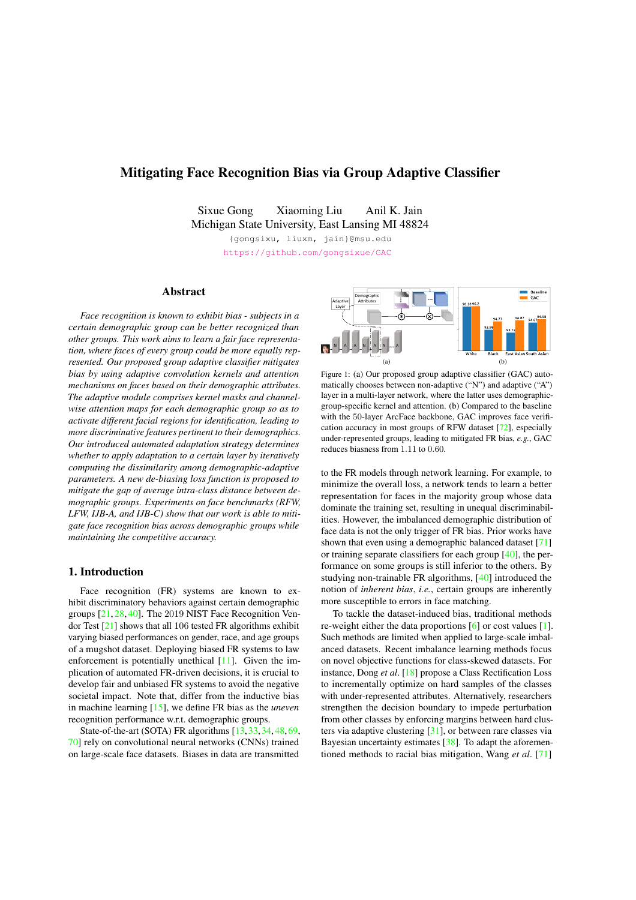# Mitigating Face Recognition Bias via Group Adaptive Classifier

Sixue Gong Xiaoming Liu Anil K. Jain Michigan State University, East Lansing MI 48824

> {gongsixu, liuxm, jain}@msu.edu https://github.com/gongsixue/GAC

## Abstract

*Face recognition is known to exhibit bias - subjects in a certain demographic group can be better recognized than other groups. This work aims to learn a fair face representation, where faces of every group could be more equally represented. Our proposed group adaptive classifier mitigates bias by using adaptive convolution kernels and attention mechanisms on faces based on their demographic attributes. The adaptive module comprises kernel masks and channelwise attention maps for each demographic group so as to activate different facial regions for identification, leading to more discriminative features pertinent to their demographics. Our introduced automated adaptation strategy determines whether to apply adaptation to a certain layer by iteratively computing the dissimilarity among demographic-adaptive parameters. A new de-biasing loss function is proposed to mitigate the gap of average intra-class distance between demographic groups. Experiments on face benchmarks (RFW, LFW, IJB-A, and IJB-C) show that our work is able to mitigate face recognition bias across demographic groups while maintaining the competitive accuracy.*

## 1. Introduction

Face recognition (FR) systems are known to exhibit discriminatory behaviors against certain demographic groups [21, 28, 40]. The 2019 NIST Face Recognition Vendor Test [21] shows that all 106 tested FR algorithms exhibit varying biased performances on gender, race, and age groups of a mugshot dataset. Deploying biased FR systems to law enforcement is potentially unethical [11]. Given the implication of automated FR-driven decisions, it is crucial to develop fair and unbiased FR systems to avoid the negative societal impact. Note that, differ from the inductive bias in machine learning [15], we define FR bias as the *uneven* recognition performance w.r.t. demographic groups.

State-of-the-art (SOTA) FR algorithms [13, 33, 34, 48, 69, 70] rely on convolutional neural networks (CNNs) trained on large-scale face datasets. Biases in data are transmitted



Figure 1: (a) Our proposed group adaptive classifier (GAC) automatically chooses between non-adaptive ("N") and adaptive ("A") layer in a multi-layer network, where the latter uses demographicgroup-specific kernel and attention. (b) Compared to the baseline with the 50-layer ArcFace backbone, GAC improves face verification accuracy in most groups of RFW dataset [72], especially under-represented groups, leading to mitigated FR bias, *e.g.*, GAC reduces biasness from 1*.*11 to 0*.*60.

to the FR models through network learning. For example, to minimize the overall loss, a network tends to learn a better representation for faces in the majority group whose data dominate the training set, resulting in unequal discriminabilities. However, the imbalanced demographic distribution of face data is not the only trigger of FR bias. Prior works have shown that even using a demographic balanced dataset [71] or training separate classifiers for each group [40], the performance on some groups is still inferior to the others. By studying non-trainable FR algorithms, [40] introduced the notion of *inherent bias*, *i.e.*, certain groups are inherently more susceptible to errors in face matching.

To tackle the dataset-induced bias, traditional methods re-weight either the data proportions [6] or cost values [1]. Such methods are limited when applied to large-scale imbalanced datasets. Recent imbalance learning methods focus on novel objective functions for class-skewed datasets. For instance, Dong *et al*. [18] propose a Class Rectification Loss to incrementally optimize on hard samples of the classes with under-represented attributes. Alternatively, researchers strengthen the decision boundary to impede perturbation from other classes by enforcing margins between hard clusters via adaptive clustering [31], or between rare classes via Bayesian uncertainty estimates [38]. To adapt the aforementioned methods to racial bias mitigation, Wang *et al*. [71]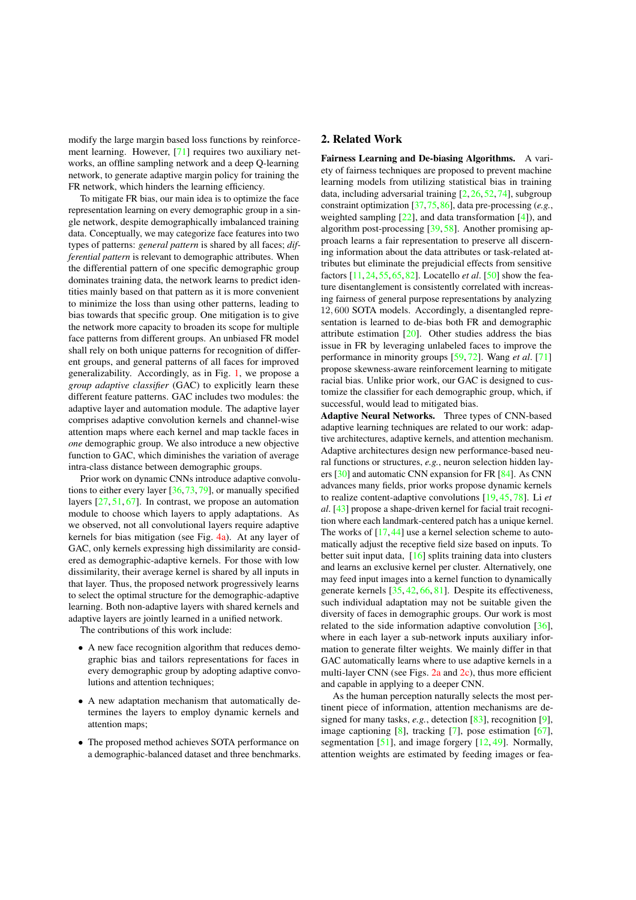modify the large margin based loss functions by reinforcement learning. However, [71] requires two auxiliary networks, an offline sampling network and a deep Q-learning network, to generate adaptive margin policy for training the FR network, which hinders the learning efficiency.

To mitigate FR bias, our main idea is to optimize the face representation learning on every demographic group in a single network, despite demographically imbalanced training data. Conceptually, we may categorize face features into two types of patterns: *general pattern* is shared by all faces; *differential pattern* is relevant to demographic attributes. When the differential pattern of one specific demographic group dominates training data, the network learns to predict identities mainly based on that pattern as it is more convenient to minimize the loss than using other patterns, leading to bias towards that specific group. One mitigation is to give the network more capacity to broaden its scope for multiple face patterns from different groups. An unbiased FR model shall rely on both unique patterns for recognition of different groups, and general patterns of all faces for improved generalizability. Accordingly, as in Fig. 1, we propose a *group adaptive classifier* (GAC) to explicitly learn these different feature patterns. GAC includes two modules: the adaptive layer and automation module. The adaptive layer comprises adaptive convolution kernels and channel-wise attention maps where each kernel and map tackle faces in *one* demographic group. We also introduce a new objective function to GAC, which diminishes the variation of average intra-class distance between demographic groups.

Prior work on dynamic CNNs introduce adaptive convolutions to either every layer [36, 73, 79], or manually specified layers [27, 51, 67]. In contrast, we propose an automation module to choose which layers to apply adaptations. As we observed, not all convolutional layers require adaptive kernels for bias mitigation (see Fig. 4a). At any layer of GAC, only kernels expressing high dissimilarity are considered as demographic-adaptive kernels. For those with low dissimilarity, their average kernel is shared by all inputs in that layer. Thus, the proposed network progressively learns to select the optimal structure for the demographic-adaptive learning. Both non-adaptive layers with shared kernels and adaptive layers are jointly learned in a unified network.

The contributions of this work include:

- *•* A new face recognition algorithm that reduces demographic bias and tailors representations for faces in every demographic group by adopting adaptive convolutions and attention techniques;
- *•* A new adaptation mechanism that automatically determines the layers to employ dynamic kernels and attention maps;
- *•* The proposed method achieves SOTA performance on a demographic-balanced dataset and three benchmarks.

## 2. Related Work

Fairness Learning and De-biasing Algorithms. A variety of fairness techniques are proposed to prevent machine learning models from utilizing statistical bias in training data, including adversarial training [2, 26, 52, 74], subgroup constraint optimization [37,75,86], data pre-processing (*e.g.*, weighted sampling [22], and data transformation [4]), and algorithm post-processing [39, 58]. Another promising approach learns a fair representation to preserve all discerning information about the data attributes or task-related attributes but eliminate the prejudicial effects from sensitive factors [11, 24, 55, 65, 82]. Locatello *et al*. [50] show the feature disentanglement is consistently correlated with increasing fairness of general purpose representations by analyzing 12*,* 600 SOTA models. Accordingly, a disentangled representation is learned to de-bias both FR and demographic attribute estimation [20]. Other studies address the bias issue in FR by leveraging unlabeled faces to improve the performance in minority groups [59, 72]. Wang *et al*. [71] propose skewness-aware reinforcement learning to mitigate racial bias. Unlike prior work, our GAC is designed to customize the classifier for each demographic group, which, if successful, would lead to mitigated bias.

Adaptive Neural Networks. Three types of CNN-based adaptive learning techniques are related to our work: adaptive architectures, adaptive kernels, and attention mechanism. Adaptive architectures design new performance-based neural functions or structures, *e.g.*, neuron selection hidden layers [30] and automatic CNN expansion for FR [84]. As CNN advances many fields, prior works propose dynamic kernels to realize content-adaptive convolutions [19, 45, 78]. Li *et al*. [43] propose a shape-driven kernel for facial trait recognition where each landmark-centered patch has a unique kernel. The works of  $[17, 44]$  use a kernel selection scheme to automatically adjust the receptive field size based on inputs. To better suit input data, [16] splits training data into clusters and learns an exclusive kernel per cluster. Alternatively, one may feed input images into a kernel function to dynamically generate kernels [35, 42, 66, 81]. Despite its effectiveness, such individual adaptation may not be suitable given the diversity of faces in demographic groups. Our work is most related to the side information adaptive convolution [36], where in each layer a sub-network inputs auxiliary information to generate filter weights. We mainly differ in that GAC automatically learns where to use adaptive kernels in a multi-layer CNN (see Figs. 2a and 2c), thus more efficient and capable in applying to a deeper CNN.

As the human perception naturally selects the most pertinent piece of information, attention mechanisms are designed for many tasks, *e.g.*, detection [83], recognition [9], image captioning [8], tracking [7], pose estimation [67], segmentation [51], and image forgery [12, 49]. Normally, attention weights are estimated by feeding images or fea-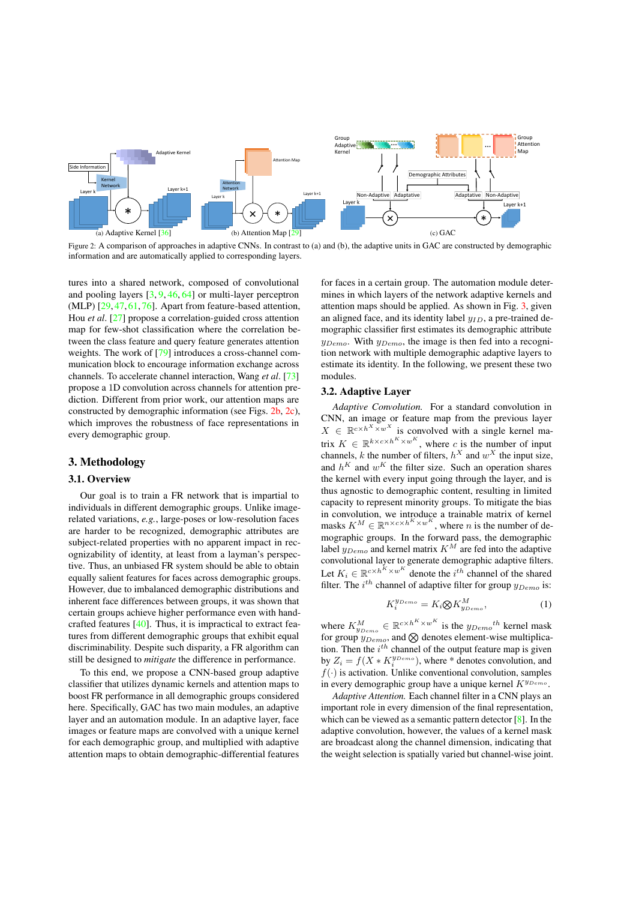

Figure 2: A comparison of approaches in adaptive CNNs. In contrast to (a) and (b), the adaptive units in GAC are constructed by demographic information and are automatically applied to corresponding layers.

tures into a shared network, composed of convolutional and pooling layers [3, 9, 46, 64] or multi-layer perceptron (MLP) [29, 47, 61, 76]. Apart from feature-based attention, Hou *et al*. [27] propose a correlation-guided cross attention map for few-shot classification where the correlation between the class feature and query feature generates attention weights. The work of [79] introduces a cross-channel communication block to encourage information exchange across channels. To accelerate channel interaction, Wang *et al*. [73] propose a 1D convolution across channels for attention prediction. Different from prior work, our attention maps are constructed by demographic information (see Figs. 2b, 2c), which improves the robustness of face representations in every demographic group.

## 3. Methodology

## 3.1. Overview

Our goal is to train a FR network that is impartial to individuals in different demographic groups. Unlike imagerelated variations, *e.g.*, large-poses or low-resolution faces are harder to be recognized, demographic attributes are subject-related properties with no apparent impact in recognizability of identity, at least from a layman's perspective. Thus, an unbiased FR system should be able to obtain equally salient features for faces across demographic groups. However, due to imbalanced demographic distributions and inherent face differences between groups, it was shown that certain groups achieve higher performance even with handcrafted features [40]. Thus, it is impractical to extract features from different demographic groups that exhibit equal discriminability. Despite such disparity, a FR algorithm can still be designed to *mitigate* the difference in performance.

To this end, we propose a CNN-based group adaptive classifier that utilizes dynamic kernels and attention maps to boost FR performance in all demographic groups considered here. Specifically, GAC has two main modules, an adaptive layer and an automation module. In an adaptive layer, face images or feature maps are convolved with a unique kernel for each demographic group, and multiplied with adaptive attention maps to obtain demographic-differential features for faces in a certain group. The automation module determines in which layers of the network adaptive kernels and attention maps should be applied. As shown in Fig. 3, given an aligned face, and its identity label  $y_{ID}$ , a pre-trained demographic classifier first estimates its demographic attribute *yDemo*. With *yDemo*, the image is then fed into a recognition network with multiple demographic adaptive layers to estimate its identity. In the following, we present these two modules.

#### 3.2. Adaptive Layer

*Adaptive Convolution.* For a standard convolution in CNN, an image or feature map from the previous layer  $X \in \mathbb{R}^{c \times h^{X} \times w^{X}}$  is convolved with a single kernel matrix  $K \in \mathbb{R}^{k \times c \times h^{K} \times w^{K}}$ , where *c* is the number of input channels, *k* the number of filters,  $h^X$  and  $w^X$  the input size, and  $h^K$  and  $w^K$  the filter size. Such an operation shares the kernel with every input going through the layer, and is thus agnostic to demographic content, resulting in limited capacity to represent minority groups. To mitigate the bias in convolution, we introduce a trainable matrix of kernel masks  $K^M \in \mathbb{R}^{n \times c \times h^K \times w^K}$ , where *n* is the number of demographic groups. In the forward pass, the demographic label *yDemo* and kernel matrix *K<sup>M</sup>* are fed into the adaptive convolutional layer to generate demographic adaptive filters. Let  $K_i \in \mathbb{R}^{c \times h^K \times w^K}$  denote the *i*<sup>th</sup> channel of the shared filter. The *i th* channel of adaptive filter for group *yDemo* is:

$$
K_j^{y_{Demo}} = K_i \otimes K_{y_{Demo}}^M,\tag{1}
$$

where  $K_{y_{Demo}}^M \in \mathbb{R}^{c \times h^K \times w^K}$  is the  $y_{Demo}^{th}$  kernel mask for group  $y_{Demo}$ , and  $\otimes$  denotes element-wise multiplication. Then the *i th* channel of the output feature map is given by  $Z_i = f(X * K_i^{y_{Demo}})$ , where \* denotes convolution, and  $f(\cdot)$  is activation. Unlike conventional convolution, samples in every demographic group have a unique kernel *K<sup>y</sup>Demo* .

*Adaptive Attention.* Each channel filter in a CNN plays an important role in every dimension of the final representation, which can be viewed as a semantic pattern detector [8]. In the adaptive convolution, however, the values of a kernel mask are broadcast along the channel dimension, indicating that the weight selection is spatially varied but channel-wise joint.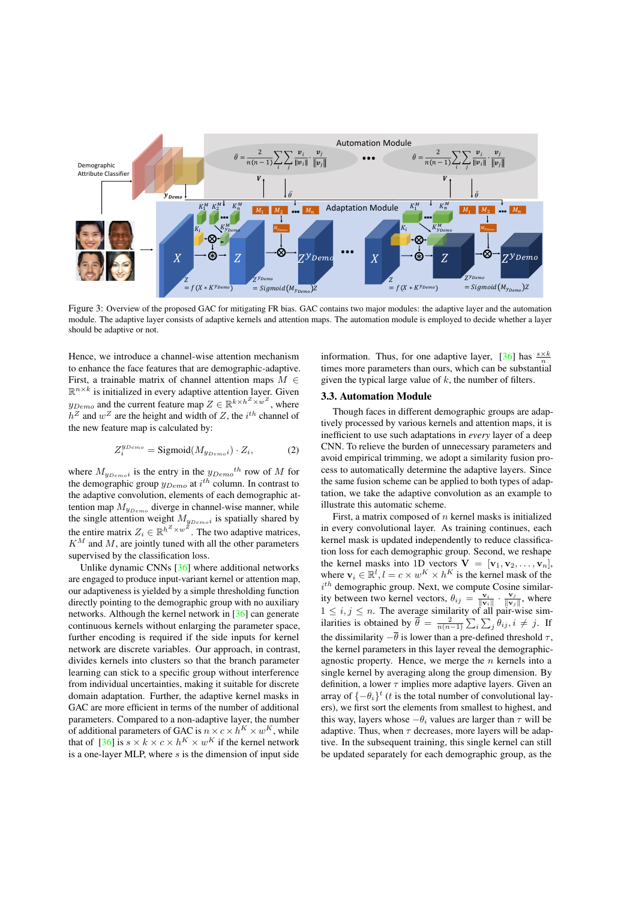

Figure 3: Overview of the proposed GAC for mitigating FR bias. GAC contains two major modules: the adaptive layer and the automation module. The adaptive layer consists of adaptive kernels and attention maps. The automation module is employed to decide whether a layer should be adaptive or not.

Hence, we introduce a channel-wise attention mechanism to enhance the face features that are demographic-adaptive. First, a trainable matrix of channel attention maps  $M \in$  $\mathbb{R}^{n \times k}$  is initialized in every adaptive attention layer. Given  $y_{Demo}$  and the current feature map  $Z \in \mathbb{R}^{k \times h^Z \times w^Z}$ , where  $h^Z$  and  $w^Z$  are the height and width of *Z*, the *i*<sup>th</sup> channel of the new feature map is calculated by:

$$
Z_i^{y_{Demo}} = \text{Sigmoid}(M_{y_{Demoi}}) \cdot Z_i,
$$
 (2)

where  $M_{y_{Demoi}}$  is the entry in the  $y_{Demoi}$ <sup>th</sup> row of M for the demographic group *yDemo* at *i th* column. In contrast to the adaptive convolution, elements of each demographic attention map  $M_{y_{Demo}}$  diverge in channel-wise manner, while the single attention weight  $M_{y_{Demo}i}$  is spatially shared by the entire matrix  $Z_i \in \mathbb{R}^{h^Z \times w^Z}$ . The two adaptive matrices,  $K^M$  and M, are jointly tuned with all the other parameters supervised by the classification loss.

Unlike dynamic CNNs [36] where additional networks are engaged to produce input-variant kernel or attention map, our adaptiveness is yielded by a simple thresholding function directly pointing to the demographic group with no auxiliary networks. Although the kernel network in [36] can generate continuous kernels without enlarging the parameter space, further encoding is required if the side inputs for kernel network are discrete variables. Our approach, in contrast, divides kernels into clusters so that the branch parameter learning can stick to a specific group without interference from individual uncertainties, making it suitable for discrete domain adaptation. Further, the adaptive kernel masks in GAC are more efficient in terms of the number of additional parameters. Compared to a non-adaptive layer, the number of additional parameters of GAC is  $n \times c \times h^K \times w^K$ , while that of  $[36]$  is  $s \times k \times c \times h^K \times w^K$  if the kernel network is a one-layer MLP, where *s* is the dimension of input side

information. Thus, for one adaptive layer, [36] has  $\frac{s \times k}{n}$ times more parameters than ours, which can be substantial given the typical large value of *k*, the number of filters.

## 3.3. Automation Module

Though faces in different demographic groups are adaptively processed by various kernels and attention maps, it is inefficient to use such adaptations in *every* layer of a deep CNN. To relieve the burden of unnecessary parameters and avoid empirical trimming, we adopt a similarity fusion process to automatically determine the adaptive layers. Since the same fusion scheme can be applied to both types of adaptation, we take the adaptive convolution as an example to illustrate this automatic scheme.

First, a matrix composed of *n* kernel masks is initialized in every convolutional layer. As training continues, each kernel mask is updated independently to reduce classification loss for each demographic group. Second, we reshape the kernel masks into 1D vectors  $V = [v_1, v_2, \ldots, v_n]$ , where  $\mathbf{v}_i \in \mathbb{R}^l$ ,  $l = c \times w^K \times h^K$  is the kernel mask of the *i th* demographic group. Next, we compute Cosine similarity between two kernel vectors,  $\theta_{ij} = \frac{\mathbf{v}_i}{\|\mathbf{v}_i\|} \cdot \frac{\mathbf{v}_j}{\|\mathbf{v}_j\|}$ , where  $1 \leq i, j \leq n$ . The average similarity of all pair-wise similarities is obtained by  $\overline{\theta} = \frac{2}{n(n-1)} \sum_i \sum_j \theta_{ij}, i \neq j$ . If the dissimilarity  $-\overline{\theta}$  is lower than a pre-defined threshold  $\tau$ , the kernel parameters in this layer reveal the demographicagnostic property. Hence, we merge the *n* kernels into a single kernel by averaging along the group dimension. By definition, a lower  $\tau$  implies more adaptive layers. Given an array of  $\{-\theta_i\}^t$  (*t* is the total number of convolutional layers), we first sort the elements from smallest to highest, and this way, layers whose  $-\theta_i$  values are larger than  $\tau$  will be adaptive. Thus, when  $\tau$  decreases, more layers will be adaptive. In the subsequent training, this single kernel can still be updated separately for each demographic group, as the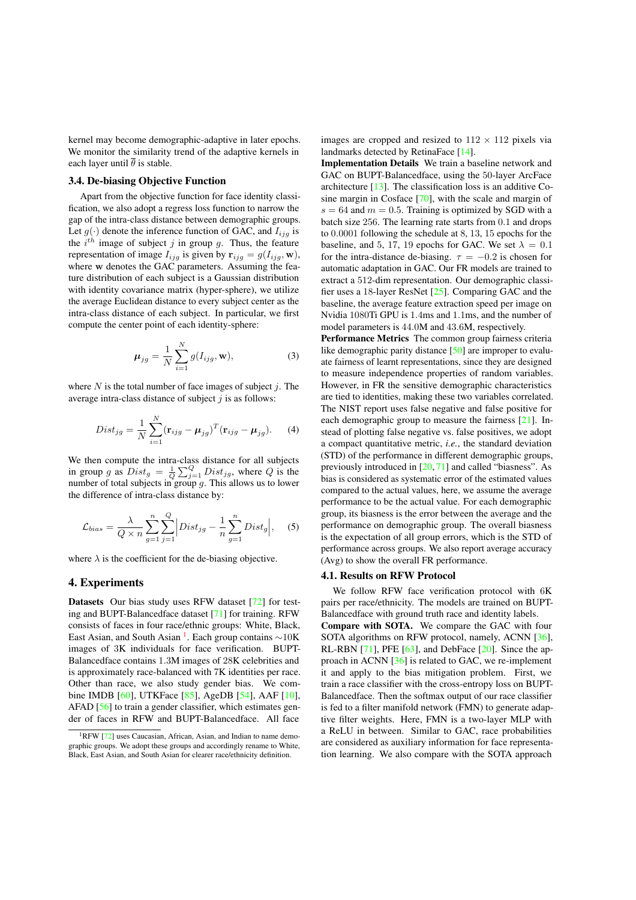kernel may become demographic-adaptive in later epochs. We monitor the similarity trend of the adaptive kernels in each layer until  $\overline{\theta}$  is stable.

## 3.4. De-biasing Objective Function

Apart from the objective function for face identity classification, we also adopt a regress loss function to narrow the gap of the intra-class distance between demographic groups. Let  $q(\cdot)$  denote the inference function of GAC, and  $I_{ijq}$  is the  $i^{th}$  image of subject  $j$  in group  $g$ . Thus, the feature representation of image  $I_{ijg}$  is given by  $\mathbf{r}_{ijg} = g(I_{ijg}, \mathbf{w})$ , where w denotes the GAC parameters. Assuming the feature distribution of each subject is a Gaussian distribution with identity covariance matrix (hyper-sphere), we utilize the average Euclidean distance to every subject center as the intra-class distance of each subject. In particular, we first compute the center point of each identity-sphere:

$$
\mu_{jg} = \frac{1}{N} \sum_{i=1}^{N} g(I_{ijg}, \mathbf{w}), \qquad (3)
$$

where *N* is the total number of face images of subject *j*. The average intra-class distance of subject *j* is as follows:

$$
Dist_{jg} = \frac{1}{N} \sum_{i=1}^{N} (\mathbf{r}_{ijg} - \boldsymbol{\mu}_{jg})^T (\mathbf{r}_{ijg} - \boldsymbol{\mu}_{jg}). \tag{4}
$$

We then compute the intra-class distance for all subjects in group *g* as  $Dist_g = \frac{1}{Q} \sum_{j=1}^{Q} Dist_{jg}$ , where *Q* is the number of total subjects in group  $g$ . This allows us to lower the difference of intra-class distance by:

$$
\mathcal{L}_{bias} = \frac{\lambda}{Q \times n} \sum_{g=1}^{n} \sum_{j=1}^{Q} \left| Dist_{jg} - \frac{1}{n} \sum_{g=1}^{n} Dist_{g} \right|, \quad (5)
$$

where  $\lambda$  is the coefficient for the de-biasing objective.

## 4. Experiments

Datasets Our bias study uses RFW dataset [72] for testing and BUPT-Balancedface dataset [71] for training. RFW consists of faces in four race/ethnic groups: White, Black, East Asian, and South Asian <sup>1</sup>. Each group contains  $\sim 10$ K images of 3K individuals for face verification. BUPT-Balancedface contains 1*.*3M images of 28K celebrities and is approximately race-balanced with 7K identities per race. Other than race, we also study gender bias. We combine IMDB [60], UTKFace [85], AgeDB [54], AAF [10], AFAD [56] to train a gender classifier, which estimates gender of faces in RFW and BUPT-Balancedface. All face images are cropped and resized to  $112 \times 112$  pixels via landmarks detected by RetinaFace [14].

Implementation Details We train a baseline network and GAC on BUPT-Balancedface, using the 50-layer ArcFace architecture [13]. The classification loss is an additive Cosine margin in Cosface [70], with the scale and margin of  $s = 64$  and  $m = 0.5$ . Training is optimized by SGD with a batch size 256. The learning rate starts from 0*.*1 and drops to 0*.*0001 following the schedule at 8, 13, 15 epochs for the baseline, and 5, 17, 19 epochs for GAC. We set  $\lambda = 0.1$ for the intra-distance de-biasing.  $\tau = -0.2$  is chosen for automatic adaptation in GAC. Our FR models are trained to extract a 512-dim representation. Our demographic classifier uses a 18-layer ResNet [25]. Comparing GAC and the baseline, the average feature extraction speed per image on Nvidia 1080Ti GPU is 1*.*4ms and 1*.*1ms, and the number of model parameters is 44*.*0M and 43*.*6M, respectively.

Performance Metrics The common group fairness criteria like demographic parity distance [50] are improper to evaluate fairness of learnt representations, since they are designed to measure independence properties of random variables. However, in FR the sensitive demographic characteristics are tied to identities, making these two variables correlated. The NIST report uses false negative and false positive for each demographic group to measure the fairness [21]. Instead of plotting false negative vs. false positives, we adopt a compact quantitative metric, *i.e.*, the standard deviation (STD) of the performance in different demographic groups, previously introduced in [20, 71] and called "biasness". As bias is considered as systematic error of the estimated values compared to the actual values, here, we assume the average performance to be the actual value. For each demographic group, its biasness is the error between the average and the performance on demographic group. The overall biasness is the expectation of all group errors, which is the STD of performance across groups. We also report average accuracy (Avg) to show the overall FR performance.

#### 4.1. Results on RFW Protocol

We follow RFW face verification protocol with 6K pairs per race/ethnicity. The models are trained on BUPT-Balancedface with ground truth race and identity labels. Compare with SOTA. We compare the GAC with four SOTA algorithms on RFW protocol, namely, ACNN [36], RL-RBN [71], PFE [63], and DebFace [20]. Since the approach in ACNN [36] is related to GAC, we re-implement it and apply to the bias mitigation problem. First, we train a race classifier with the cross-entropy loss on BUPT-Balancedface. Then the softmax output of our race classifier is fed to a filter manifold network (FMN) to generate adaptive filter weights. Here, FMN is a two-layer MLP with a ReLU in between. Similar to GAC, race probabilities are considered as auxiliary information for face representation learning. We also compare with the SOTA approach

<sup>&</sup>lt;sup>1</sup>RFW [72] uses Caucasian, African, Asian, and Indian to name demographic groups. We adopt these groups and accordingly rename to White, Black, East Asian, and South Asian for clearer race/ethnicity definition.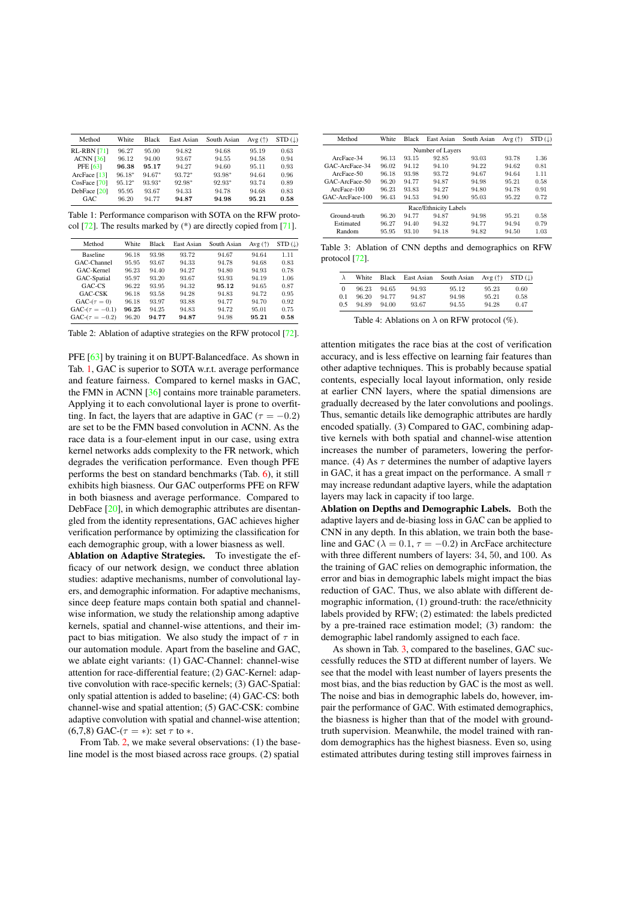| Method             | White    | <b>Black</b> | East Asian | South Asian | Avg $(\uparrow)$ | $STD$ (1) |
|--------------------|----------|--------------|------------|-------------|------------------|-----------|
| <b>RL-RBN [71]</b> | 96.27    | 95.00        | 94.82      | 94.68       | 95.19            | 0.63      |
| <b>ACNN [36]</b>   | 96.12    | 94.00        | 93.67      | 94.55       | 94.58            | 0.94      |
| <b>PFE [63]</b>    | 96.38    | 95.17        | 94.27      | 94.60       | 95.11            | 0.93      |
| ArcFace [13]       | $96.18*$ | $94.67*$     | $93.72*$   | 93.98*      | 94.64            | 0.96      |
| CosFace [70]       | $95.12*$ | $93.93*$     | 92.98*     | 92.93*      | 93.74            | 0.89      |
| DebFace [20]       | 95.95    | 93.67        | 94.33      | 94.78       | 94.68            | 0.83      |
| GAC.               | 96.20    | 94.77        | 94.87      | 94.98       | 95.21            | 0.58      |

Table 1: Performance comparison with SOTA on the RFW protocol [72]. The results marked by (\*) are directly copied from [71].

| Method              | White | <b>Black</b> | East Asian | South Asian | Avg $(\uparrow)$ | $STD$ ( $\downarrow$ ) |
|---------------------|-------|--------------|------------|-------------|------------------|------------------------|
| <b>Baseline</b>     | 96.18 | 93.98        | 93.72      | 94.67       | 94.64            | 1.11                   |
| GAC-Channel         | 95.95 | 93.67        | 94.33      | 94.78       | 94.68            | 0.83                   |
| GAC-Kernel          | 96.23 | 94.40        | 94.27      | 94.80       | 94.93            | 0.78                   |
| GAC-Spatial         | 95.97 | 93.20        | 93.67      | 93.93       | 94.19            | 1.06                   |
| GAC-CS              | 96.22 | 93.95        | 94.32      | 95.12       | 94.65            | 0.87                   |
| GAC-CSK             | 96.18 | 93.58        | 94.28      | 94.83       | 94.72            | 0.95                   |
| $GAC-(\tau=0)$      | 96.18 | 93.97        | 93.88      | 94.77       | 94.70            | 0.92                   |
| $GAC-(\tau = -0.1)$ | 96.25 | 94.25        | 94.83      | 94.72       | 95.01            | 0.75                   |
| $GAC-(\tau = -0.2)$ | 96.20 | 94.77        | 94.87      | 94.98       | 95.21            | 0.58                   |

Table 2: Ablation of adaptive strategies on the RFW protocol [72].

PFE [63] by training it on BUPT-Balancedface. As shown in Tab. 1, GAC is superior to SOTA w.r.t. average performance and feature fairness. Compared to kernel masks in GAC, the FMN in ACNN [36] contains more trainable parameters. Applying it to each convolutional layer is prone to overfitting. In fact, the layers that are adaptive in GAC ( $\tau = -0.2$ ) are set to be the FMN based convolution in ACNN. As the race data is a four-element input in our case, using extra kernel networks adds complexity to the FR network, which degrades the verification performance. Even though PFE performs the best on standard benchmarks (Tab. 6), it still exhibits high biasness. Our GAC outperforms PFE on RFW in both biasness and average performance. Compared to DebFace [20], in which demographic attributes are disentangled from the identity representations, GAC achieves higher verification performance by optimizing the classification for each demographic group, with a lower biasness as well.

Ablation on Adaptive Strategies. To investigate the efficacy of our network design, we conduct three ablation studies: adaptive mechanisms, number of convolutional layers, and demographic information. For adaptive mechanisms, since deep feature maps contain both spatial and channelwise information, we study the relationship among adaptive kernels, spatial and channel-wise attentions, and their impact to bias mitigation. We also study the impact of  $\tau$  in our automation module. Apart from the baseline and GAC, we ablate eight variants: (1) GAC-Channel: channel-wise attention for race-differential feature; (2) GAC-Kernel: adaptive convolution with race-specific kernels; (3) GAC-Spatial: only spatial attention is added to baseline; (4) GAC-CS: both channel-wise and spatial attention; (5) GAC-CSK: combine adaptive convolution with spatial and channel-wise attention; (6,7,8) GAC-( $\tau$  = \*): set  $\tau$  to \*.

From Tab. 2, we make several observations: (1) the baseline model is the most biased across race groups. (2) spatial

| Method           | White                 | <b>Black</b> | East Asian<br>South Asian |       | Avg $(\uparrow)$ | $STD(\downarrow)$ |  |  |  |  |
|------------------|-----------------------|--------------|---------------------------|-------|------------------|-------------------|--|--|--|--|
| Number of Layers |                       |              |                           |       |                  |                   |  |  |  |  |
| ArcFace-34       | 96.13                 | 93.15        | 92.85                     | 93.03 | 93.78            | 1.36              |  |  |  |  |
| GAC-ArcEace-34   | 96.02                 | 94.12        | 94.10                     | 94.22 | 94.62            | 0.81              |  |  |  |  |
| ArcFace-50       | 96.18                 | 93.98        | 93.72                     | 94.67 | 94.64            | 1.11              |  |  |  |  |
| GAC-ArcFace-50   | 96.20                 | 94.77        | 94.87                     | 94.98 | 95.21            | 0.58              |  |  |  |  |
| ArcFace-100      | 96.23                 | 93.83        | 94.27                     | 94.80 | 94.78            | 0.91              |  |  |  |  |
| GAC-ArcFace-100  | 96.43                 | 94.53        | 94.90                     | 95.03 | 95.22            | 0.72              |  |  |  |  |
|                  | Race/Ethnicity Labels |              |                           |       |                  |                   |  |  |  |  |
| Ground-truth     | 96.20                 | 94.77        | 94.87                     | 94.98 | 95.21            | 0.58              |  |  |  |  |
| Estimated        | 96.27                 | 94.40        | 94.32                     | 94.77 | 94.94            | 0.79              |  |  |  |  |
| Random           | 95.95                 | 93.10        | 94.18                     | 94.82 | 94.50            | 1.03              |  |  |  |  |

Table 3: Ablation of CNN depths and demographics on RFW protocol [72].

|     | White | Black | East Asian | South Asian | Avg $(\uparrow)$ | $STD$ (L) |
|-----|-------|-------|------------|-------------|------------------|-----------|
| 0   | 96.23 | 94.65 | 94.93      | 95.12       | 95.23            | 0.60      |
| 0.1 | 96.20 | 94.77 | 94.87      | 94.98       | 95.21            | 0.58      |
| 0.5 | 94.89 | 94.00 | 93.67      | 94.55       | 94.28            | 0.47      |

Table 4: Ablations on  $\lambda$  on RFW protocol (%).

attention mitigates the race bias at the cost of verification accuracy, and is less effective on learning fair features than other adaptive techniques. This is probably because spatial contents, especially local layout information, only reside at earlier CNN layers, where the spatial dimensions are gradually decreased by the later convolutions and poolings. Thus, semantic details like demographic attributes are hardly encoded spatially. (3) Compared to GAC, combining adaptive kernels with both spatial and channel-wise attention increases the number of parameters, lowering the performance. (4) As  $\tau$  determines the number of adaptive layers in GAC, it has a great impact on the performance. A small  $\tau$ may increase redundant adaptive layers, while the adaptation layers may lack in capacity if too large.

Ablation on Depths and Demographic Labels. Both the adaptive layers and de-biasing loss in GAC can be applied to CNN in any depth. In this ablation, we train both the baseline and GAC ( $\lambda = 0.1$ ,  $\tau = -0.2$ ) in ArcFace architecture with three different numbers of layers: 34, 50, and 100. As the training of GAC relies on demographic information, the error and bias in demographic labels might impact the bias reduction of GAC. Thus, we also ablate with different demographic information, (1) ground-truth: the race/ethnicity labels provided by RFW; (2) estimated: the labels predicted by a pre-trained race estimation model; (3) random: the demographic label randomly assigned to each face.

As shown in Tab. 3, compared to the baselines, GAC successfully reduces the STD at different number of layers. We see that the model with least number of layers presents the most bias, and the bias reduction by GAC is the most as well. The noise and bias in demographic labels do, however, impair the performance of GAC. With estimated demographics, the biasness is higher than that of the model with groundtruth supervision. Meanwhile, the model trained with random demographics has the highest biasness. Even so, using estimated attributes during testing still improves fairness in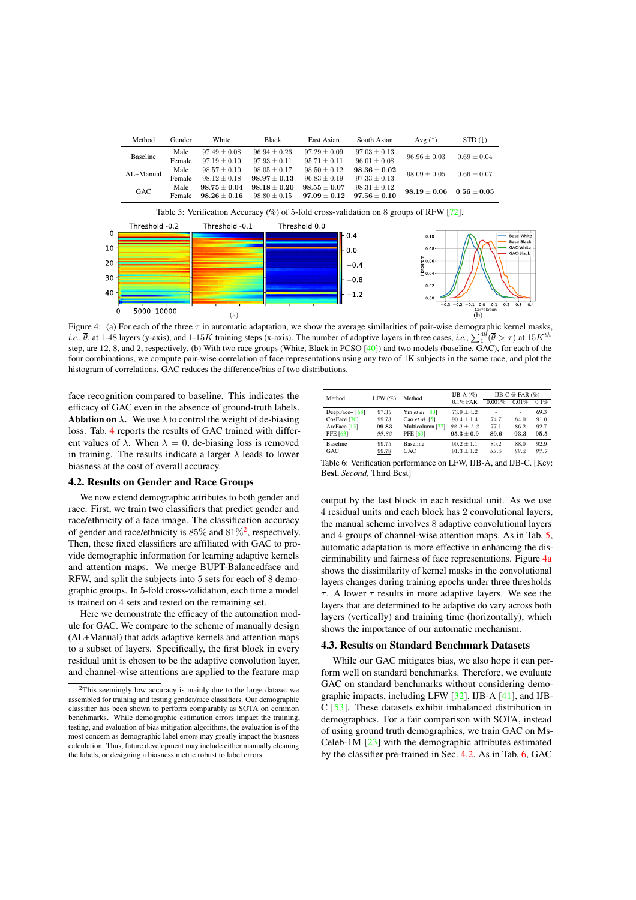| Method        | Gender         | White                              | <b>Black</b>                       | East Asian                           | South Asian                          | Avg $(\uparrow)$ | $STD ( \downarrow )$ |
|---------------|----------------|------------------------------------|------------------------------------|--------------------------------------|--------------------------------------|------------------|----------------------|
| Baseline      | Male<br>Female | $97.49 + 0.08$<br>$97.19 + 0.10$   | $96.94 \pm 0.26$<br>$97.93 + 0.11$ | $97.29 \pm 0.09$<br>$95.71 \pm 0.11$ | $97.03 \pm 0.13$<br>$96.01 \pm 0.08$ | $96.96 \pm 0.03$ | $0.69 + 0.04$        |
| $AI + Manual$ | Male<br>Female | $98.57 + 0.10$<br>$98.12 + 0.18$   | $98.05 + 0.17$<br>$98.97 + 0.13$   | $98.50 \pm 0.12$<br>$96.83 + 0.19$   | $98.36 + 0.02$<br>$97.33 \pm 0.13$   | $98.09 \pm 0.05$ | $0.66 + 0.07$        |
| GAC           | Male<br>Female | $98.75 + 0.04$<br>$98.26 \pm 0.16$ | $98.18 + 0.20$<br>$98.80 + 0.15$   | $98.55 + 0.07$<br>$97.09 + 0.12$     | $98.31 \pm 0.12$<br>$97.56 + 0.10$   | $98.19 + 0.06$   | $0.56 + 0.05$        |

Table 5: Verification Accuracy (%) of 5-fold cross-validation on 8 groups of RFW [72]. Threshold 0.1 Threshold 0.2 Threshold 0.0  $0.4$  $0.1$  $0.0$  $\mathbf{a}$  $-0.4$ 

-0.8

-12

 $(a)$  (b) Figure 4: (a) For each of the three  $\tau$  in automatic adaptation, we show the average similarities of pair-wise demographic kernel masks, *i.e.*,  $\bar{\theta}$ , at 1-48 layers (y-axis), and 1-15*K* training steps (x-axis). The number of adaptive layers in three cases, *i.e.*,  $\sum_{1}^{48}(\bar{\theta} > \tau)$  at  $15K^{th}$ step, are 12, 8, and 2, respectively. (b) With two race groups (White, Black in PCSO [40]) and two models (baseline, GAC), for each of the four combinations, we compute pair-wise correlation of face representations using any two of 1K subjects in the same race, and plot the histogram of correlations. GAC reduces the difference/bias of two distributions.

face recognition compared to baseline. This indicates the efficacy of GAC even in the absence of ground-truth labels. **Ablation on**  $\lambda$ . We use  $\lambda$  to control the weight of de-biasing loss. Tab. 4 reports the results of GAC trained with different values of  $\lambda$ . When  $\lambda = 0$ , de-biasing loss is removed in training. The results indicate a larger  $\lambda$  leads to lower biasness at the cost of overall accuracy.

| Method           | LFW(%) | Method           | IJB-A $(%)$    | IJB-C @ FAR $(\%)$ |       |         |  |  |
|------------------|--------|------------------|----------------|--------------------|-------|---------|--|--|
|                  |        |                  | $0.1\%$ FAR    | 0.001%             | 0.01% | $0.1\%$ |  |  |
| DeepFace+ $[68]$ | 97.35  | Yin et al. [80]  | $73.9 \pm 4.2$ |                    | ٠     | 69.3    |  |  |
| $CosFace$ [70]   | 99.73  | Cao et al. $[5]$ | $90.4 \pm 1.4$ | 74.7               | 84.0  | 91.0    |  |  |
| ArcFace $[13]$   | 99.83  | Multicolumn [77] | $92.0 \pm 1.3$ | 77.1               | 86.2  | 92.7    |  |  |
| PFE [63]         | 99.82  | PFE [63]         | $95.3 + 0.9$   | 89.6               | 93.3  | 95.5    |  |  |
| Baseline         | 99.75  | <b>Baseline</b>  | $90.2 \pm 1.1$ | 80.2               | 88.0  | 92.9    |  |  |
| GAC              | 99.78  | GAC              | $91.3 \pm 1.2$ | 83.5               | 89.2  | 93.7    |  |  |

 $0.0$ 

 $0.0$ 

Base-White<br>Base-Black

GAC-White

GAC-Black

 $n<sup>2</sup>$ 

 $0.0$   $0.1$ <br>Correlation

## 4.2. Results on Gender and Race Groups

5000 10000

 $\Omega$ 

 $10$ 

20

30

40

 $\Omega$ 

We now extend demographic attributes to both gender and race. First, we train two classifiers that predict gender and race/ethnicity of a face image. The classification accuracy of gender and race/ethnicity is  $85\%$  and  $81\%^2$ , respectively. Then, these fixed classifiers are affiliated with GAC to provide demographic information for learning adaptive kernels and attention maps. We merge BUPT-Balancedface and RFW, and split the subjects into 5 sets for each of 8 demographic groups. In 5-fold cross-validation, each time a model is trained on 4 sets and tested on the remaining set.

Here we demonstrate the efficacy of the automation module for GAC. We compare to the scheme of manually design (AL+Manual) that adds adaptive kernels and attention maps to a subset of layers. Specifically, the first block in every residual unit is chosen to be the adaptive convolution layer, and channel-wise attentions are applied to the feature map

Table 6: Verification performance on LFW, IJB-A, and IJB-C. [Key: Best, *Second*, Third Best]

output by the last block in each residual unit. As we use 4 residual units and each block has 2 convolutional layers, the manual scheme involves 8 adaptive convolutional layers and 4 groups of channel-wise attention maps. As in Tab. 5, automatic adaptation is more effective in enhancing the discirminability and fairness of face representations. Figure 4a shows the dissimilarity of kernel masks in the convolutional layers changes during training epochs under three thresholds  $\tau$ . A lower  $\tau$  results in more adaptive layers. We see the layers that are determined to be adaptive do vary across both layers (vertically) and training time (horizontally), which shows the importance of our automatic mechanism.

## 4.3. Results on Standard Benchmark Datasets

While our GAC mitigates bias, we also hope it can perform well on standard benchmarks. Therefore, we evaluate GAC on standard benchmarks without considering demographic impacts, including LFW [32], IJB-A [41], and IJB-C [53]. These datasets exhibit imbalanced distribution in demographics. For a fair comparison with SOTA, instead of using ground truth demographics, we train GAC on Ms-Celeb-1M [23] with the demographic attributes estimated by the classifier pre-trained in Sec. 4.2. As in Tab. 6, GAC

<sup>2</sup>This seemingly low accuracy is mainly due to the large dataset we assembled for training and testing gender/race classifiers. Our demographic classifier has been shown to perform comparably as SOTA on common benchmarks. While demographic estimation errors impact the training, testing, and evaluation of bias mitigation algorithms, the evaluation is of the most concern as demographic label errors may greatly impact the biasness calculation. Thus, future development may include either manually cleaning the labels, or designing a biasness metric robust to label errors.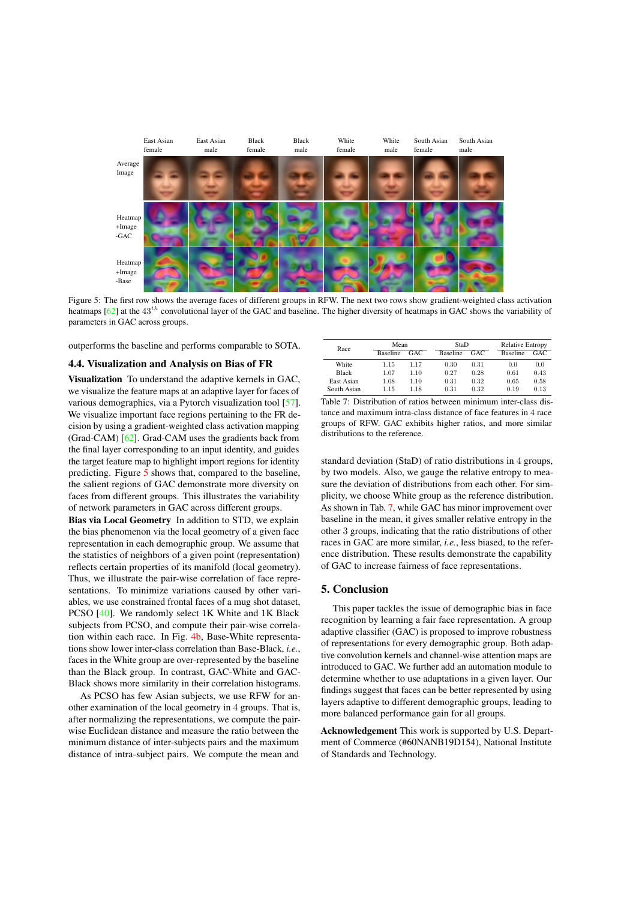

Figure 5: The first row shows the average faces of different groups in RFW. The next two rows show gradient-weighted class activation heatmaps [62] at the 43*th* convolutional layer of the GAC and baseline. The higher diversity of heatmaps in GAC shows the variability of parameters in GAC across groups.

outperforms the baseline and performs comparable to SOTA.

#### 4.4. Visualization and Analysis on Bias of FR

Visualization To understand the adaptive kernels in GAC, we visualize the feature maps at an adaptive layer for faces of various demographics, via a Pytorch visualization tool [57]. We visualize important face regions pertaining to the FR decision by using a gradient-weighted class activation mapping (Grad-CAM) [62]. Grad-CAM uses the gradients back from the final layer corresponding to an input identity, and guides the target feature map to highlight import regions for identity predicting. Figure 5 shows that, compared to the baseline, the salient regions of GAC demonstrate more diversity on faces from different groups. This illustrates the variability of network parameters in GAC across different groups.

Bias via Local Geometry In addition to STD, we explain the bias phenomenon via the local geometry of a given face representation in each demographic group. We assume that the statistics of neighbors of a given point (representation) reflects certain properties of its manifold (local geometry). Thus, we illustrate the pair-wise correlation of face representations. To minimize variations caused by other variables, we use constrained frontal faces of a mug shot dataset, PCSO [40]. We randomly select 1K White and 1K Black subjects from PCSO, and compute their pair-wise correlation within each race. In Fig. 4b, Base-White representations show lower inter-class correlation than Base-Black, *i.e.*, faces in the White group are over-represented by the baseline than the Black group. In contrast, GAC-White and GAC-Black shows more similarity in their correlation histograms.

As PCSO has few Asian subjects, we use RFW for another examination of the local geometry in 4 groups. That is, after normalizing the representations, we compute the pairwise Euclidean distance and measure the ratio between the minimum distance of inter-subjects pairs and the maximum distance of intra-subject pairs. We compute the mean and

| Race        | Mean            |      | StaD            |      |  | <b>Relative Entropy</b> |      |
|-------------|-----------------|------|-----------------|------|--|-------------------------|------|
|             | <b>Baseline</b> | GAC. | <b>Baseline</b> | GAC. |  | <b>Baseline</b>         | GAC. |
| White       | 1.15            | 1.17 | 0.30            | 0.31 |  | 0.0                     | 0.0  |
| Black       | 1.07            | 1.10 | 0.27            | 0.28 |  | 0.61                    | 0.43 |
| East Asian  | 1.08            | 1.10 | 0.31            | 0.32 |  | 0.65                    | 0.58 |
| South Asian | 1.15            | 1.18 | 0.31            | 0.32 |  | 0.19                    | 0.13 |

Table 7: Distribution of ratios between minimum inter-class distance and maximum intra-class distance of face features in 4 race groups of RFW. GAC exhibits higher ratios, and more similar distributions to the reference.

standard deviation (StaD) of ratio distributions in 4 groups, by two models. Also, we gauge the relative entropy to measure the deviation of distributions from each other. For simplicity, we choose White group as the reference distribution. As shown in Tab. 7, while GAC has minor improvement over baseline in the mean, it gives smaller relative entropy in the other 3 groups, indicating that the ratio distributions of other races in GAC are more similar, *i.e.*, less biased, to the reference distribution. These results demonstrate the capability of GAC to increase fairness of face representations.

## 5. Conclusion

This paper tackles the issue of demographic bias in face recognition by learning a fair face representation. A group adaptive classifier (GAC) is proposed to improve robustness of representations for every demographic group. Both adaptive convolution kernels and channel-wise attention maps are introduced to GAC. We further add an automation module to determine whether to use adaptations in a given layer. Our findings suggest that faces can be better represented by using layers adaptive to different demographic groups, leading to more balanced performance gain for all groups.

Acknowledgement This work is supported by U.S. Department of Commerce (#60NANB19D154), National Institute of Standards and Technology.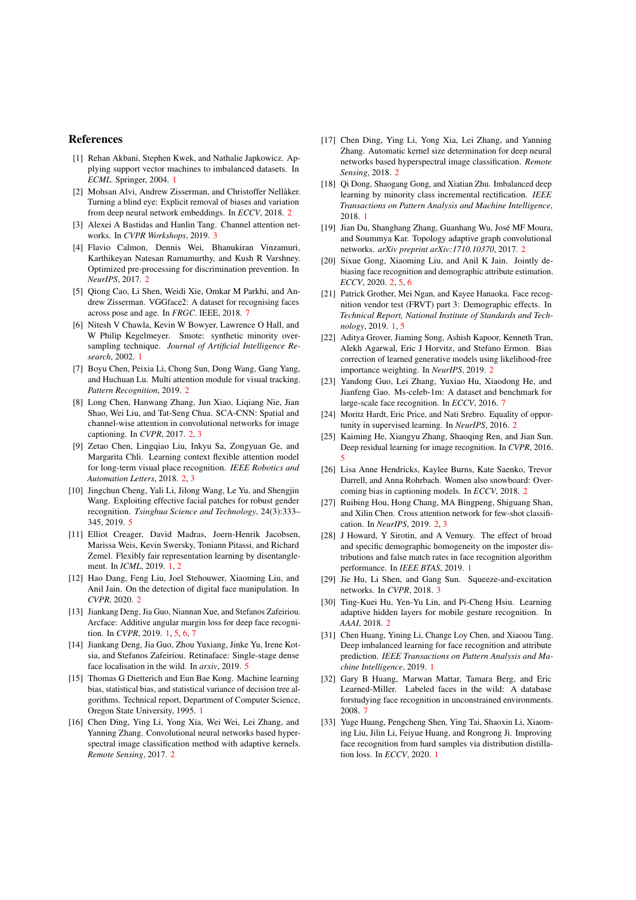## References

- [1] Rehan Akbani, Stephen Kwek, and Nathalie Japkowicz. Applying support vector machines to imbalanced datasets. In *ECML*. Springer, 2004. 1
- [2] Mohsan Alvi, Andrew Zisserman, and Christoffer Nellåker. Turning a blind eye: Explicit removal of biases and variation from deep neural network embeddings. In *ECCV*, 2018. 2
- [3] Alexei A Bastidas and Hanlin Tang. Channel attention networks. In *CVPR Workshops*, 2019. 3
- [4] Flavio Calmon, Dennis Wei, Bhanukiran Vinzamuri, Karthikeyan Natesan Ramamurthy, and Kush R Varshney. Optimized pre-processing for discrimination prevention. In *NeurIPS*, 2017. 2
- [5] Qiong Cao, Li Shen, Weidi Xie, Omkar M Parkhi, and Andrew Zisserman. VGGface2: A dataset for recognising faces across pose and age. In *FRGC*. IEEE, 2018. 7
- [6] Nitesh V Chawla, Kevin W Bowyer, Lawrence O Hall, and W Philip Kegelmeyer. Smote: synthetic minority oversampling technique. *Journal of Artificial Intelligence Research*, 2002. 1
- [7] Boyu Chen, Peixia Li, Chong Sun, Dong Wang, Gang Yang, and Huchuan Lu. Multi attention module for visual tracking. *Pattern Recognition*, 2019. 2
- [8] Long Chen, Hanwang Zhang, Jun Xiao, Liqiang Nie, Jian Shao, Wei Liu, and Tat-Seng Chua. SCA-CNN: Spatial and channel-wise attention in convolutional networks for image captioning. In *CVPR*, 2017. 2, 3
- [9] Zetao Chen, Lingqiao Liu, Inkyu Sa, Zongyuan Ge, and Margarita Chli. Learning context flexible attention model for long-term visual place recognition. *IEEE Robotics and Automation Letters*, 2018. 2, 3
- [10] Jingchun Cheng, Yali Li, Jilong Wang, Le Yu, and Shengjin Wang. Exploiting effective facial patches for robust gender recognition. *Tsinghua Science and Technology*, 24(3):333– 345, 2019. 5
- [11] Elliot Creager, David Madras, Joern-Henrik Jacobsen, Marissa Weis, Kevin Swersky, Toniann Pitassi, and Richard Zemel. Flexibly fair representation learning by disentanglement. In *ICML*, 2019. 1, 2
- [12] Hao Dang, Feng Liu, Joel Stehouwer, Xiaoming Liu, and Anil Jain. On the detection of digital face manipulation. In *CVPR*, 2020. 2
- [13] Jiankang Deng, Jia Guo, Niannan Xue, and Stefanos Zafeiriou. Arcface: Additive angular margin loss for deep face recognition. In *CVPR*, 2019. 1, 5, 6, 7
- [14] Jiankang Deng, Jia Guo, Zhou Yuxiang, Jinke Yu, Irene Kotsia, and Stefanos Zafeiriou. Retinaface: Single-stage dense face localisation in the wild. In *arxiv*, 2019.
- [15] Thomas G Dietterich and Eun Bae Kong. Machine learning bias, statistical bias, and statistical variance of decision tree algorithms. Technical report, Department of Computer Science, Oregon State University, 1995. 1
- [16] Chen Ding, Ying Li, Yong Xia, Wei Wei, Lei Zhang, and Yanning Zhang. Convolutional neural networks based hyperspectral image classification method with adaptive kernels. *Remote Sensing*, 2017. 2
- [17] Chen Ding, Ying Li, Yong Xia, Lei Zhang, and Yanning Zhang. Automatic kernel size determination for deep neural networks based hyperspectral image classification. *Remote Sensing*, 2018. 2
- [18] Oi Dong, Shaogang Gong, and Xiatian Zhu. Imbalanced deep learning by minority class incremental rectification. *IEEE Transactions on Pattern Analysis and Machine Intelligence*, 2018. 1
- [19] Jian Du, Shanghang Zhang, Guanhang Wu, José MF Moura, and Soummya Kar. Topology adaptive graph convolutional networks. *arXiv preprint arXiv:1710.10370*, 2017. 2
- [20] Sixue Gong, Xiaoming Liu, and Anil K Jain. Jointly debiasing face recognition and demographic attribute estimation. *ECCV*, 2020. 2, 5, 6
- [21] Patrick Grother, Mei Ngan, and Kayee Hanaoka. Face recognition vendor test (FRVT) part 3: Demographic effects. In *Technical Report, National Institute of Standards and Technology*, 2019. 1, 5
- [22] Aditya Grover, Jiaming Song, Ashish Kapoor, Kenneth Tran, Alekh Agarwal, Eric J Horvitz, and Stefano Ermon. Bias correction of learned generative models using likelihood-free importance weighting. In *NeurIPS*, 2019. 2
- [23] Yandong Guo, Lei Zhang, Yuxiao Hu, Xiaodong He, and Jianfeng Gao. Ms-celeb-1m: A dataset and benchmark for large-scale face recognition. In *ECCV*, 2016. 7
- [24] Moritz Hardt, Eric Price, and Nati Srebro. Equality of opportunity in supervised learning. In *NeurIPS*, 2016. 2
- [25] Kaiming He, Xiangyu Zhang, Shaoqing Ren, and Jian Sun. Deep residual learning for image recognition. In *CVPR*, 2016. 5
- [26] Lisa Anne Hendricks, Kaylee Burns, Kate Saenko, Trevor Darrell, and Anna Rohrbach. Women also snowboard: Overcoming bias in captioning models. In *ECCV*, 2018. 2
- [27] Ruibing Hou, Hong Chang, MA Bingpeng, Shiguang Shan, and Xilin Chen. Cross attention network for few-shot classification. In *NeurIPS*, 2019. 2, 3
- [28] J Howard, Y Sirotin, and A Vemury. The effect of broad and specific demographic homogeneity on the imposter distributions and false match rates in face recognition algorithm performance. In *IEEE BTAS*, 2019. 1
- [29] Jie Hu, Li Shen, and Gang Sun. Squeeze-and-excitation networks. In *CVPR*, 2018. 3
- [30] Ting-Kuei Hu, Yen-Yu Lin, and Pi-Cheng Hsiu. Learning adaptive hidden layers for mobile gesture recognition. In *AAAI*, 2018. 2
- [31] Chen Huang, Yining Li, Change Loy Chen, and Xiaoou Tang. Deep imbalanced learning for face recognition and attribute prediction. *IEEE Transactions on Pattern Analysis and Machine Intelligence*, 2019. 1
- [32] Gary B Huang, Marwan Mattar, Tamara Berg, and Eric Learned-Miller. Labeled faces in the wild: A database forstudying face recognition in unconstrained environments. 2008. 7
- [33] Yuge Huang, Pengcheng Shen, Ying Tai, Shaoxin Li, Xiaoming Liu, Jilin Li, Feiyue Huang, and Rongrong Ji. Improving face recognition from hard samples via distribution distillation loss. In *ECCV*, 2020. 1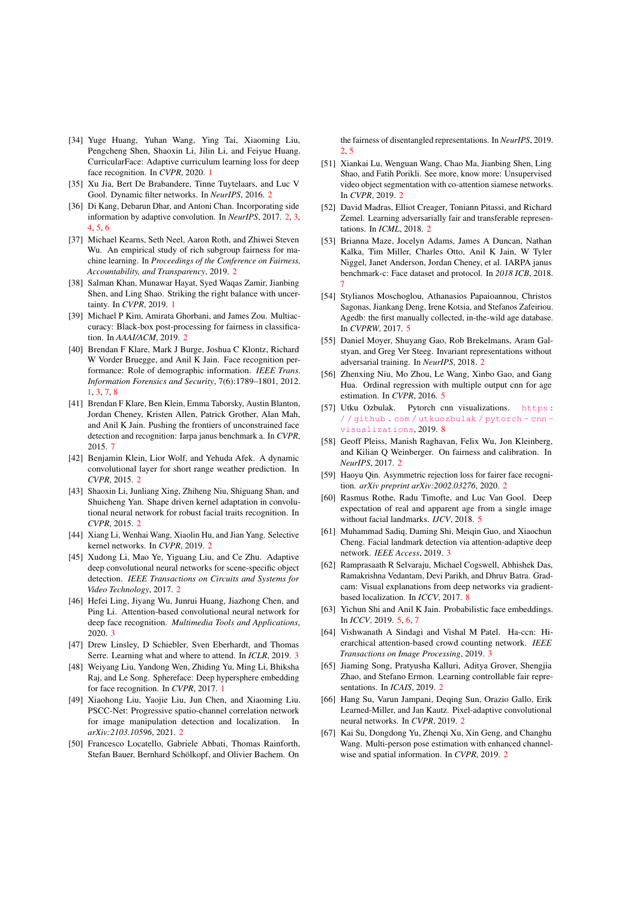- [34] Yuge Huang, Yuhan Wang, Ying Tai, Xiaoming Liu, Pengcheng Shen, Shaoxin Li, Jilin Li, and Feiyue Huang. CurricularFace: Adaptive curriculum learning loss for deep face recognition. In *CVPR*, 2020. 1
- [35] Xu Jia, Bert De Brabandere, Tinne Tuytelaars, and Luc V Gool. Dynamic filter networks. In *NeurIPS*, 2016. 2
- [36] Di Kang, Debarun Dhar, and Antoni Chan. Incorporating side information by adaptive convolution. In *NeurIPS*, 2017. 2, 3, 4, 5, 6
- [37] Michael Kearns, Seth Neel, Aaron Roth, and Zhiwei Steven Wu. An empirical study of rich subgroup fairness for machine learning. In *Proceedings of the Conference on Fairness, Accountability, and Transparency*, 2019. 2
- [38] Salman Khan, Munawar Hayat, Syed Waqas Zamir, Jianbing Shen, and Ling Shao. Striking the right balance with uncertainty. In *CVPR*, 2019. 1
- [39] Michael P Kim, Amirata Ghorbani, and James Zou. Multiaccuracy: Black-box post-processing for fairness in classification. In *AAAI/ACM*, 2019. 2
- [40] Brendan F Klare, Mark J Burge, Joshua C Klontz, Richard W Vorder Bruegge, and Anil K Jain. Face recognition performance: Role of demographic information. *IEEE Trans. Information Forensics and Security*, 7(6):1789–1801, 2012. 1, 3, 7, 8
- [41] Brendan F Klare, Ben Klein, Emma Taborsky, Austin Blanton, Jordan Cheney, Kristen Allen, Patrick Grother, Alan Mah, and Anil K Jain. Pushing the frontiers of unconstrained face detection and recognition: Iarpa janus benchmark a. In *CVPR*, 2015. 7
- [42] Benjamin Klein, Lior Wolf, and Yehuda Afek. A dynamic convolutional layer for short range weather prediction. In *CVPR*, 2015. 2
- [43] Shaoxin Li, Junliang Xing, Zhiheng Niu, Shiguang Shan, and Shuicheng Yan. Shape driven kernel adaptation in convolutional neural network for robust facial traits recognition. In *CVPR*, 2015. 2
- [44] Xiang Li, Wenhai Wang, Xiaolin Hu, and Jian Yang. Selective kernel networks. In *CVPR*, 2019. 2
- [45] Xudong Li, Mao Ye, Yiguang Liu, and Ce Zhu. Adaptive deep convolutional neural networks for scene-specific object detection. *IEEE Transactions on Circuits and Systems for Video Technology*, 2017. 2
- [46] Hefei Ling, Jiyang Wu, Junrui Huang, Jiazhong Chen, and Ping Li. Attention-based convolutional neural network for deep face recognition. *Multimedia Tools and Applications*, 2020. 3
- [47] Drew Linsley, D Schiebler, Sven Eberhardt, and Thomas Serre. Learning what and where to attend. In *ICLR*, 2019. 3
- [48] Weiyang Liu, Yandong Wen, Zhiding Yu, Ming Li, Bhiksha Raj, and Le Song. Sphereface: Deep hypersphere embedding for face recognition. In *CVPR*, 2017. 1
- [49] Xiaohong Liu, Yaojie Liu, Jun Chen, and Xiaoming Liu. PSCC-Net: Progressive spatio-channel correlation network for image manipulation detection and localization. In *arXiv:2103.10596*, 2021. 2
- [50] Francesco Locatello, Gabriele Abbati, Thomas Rainforth, Stefan Bauer, Bernhard Schölkopf, and Olivier Bachem. On

the fairness of disentangled representations. In *NeurIPS*, 2019.  $2, 5$ 

- [51] Xiankai Lu, Wenguan Wang, Chao Ma, Jianbing Shen, Ling Shao, and Fatih Porikli. See more, know more: Unsupervised video object segmentation with co-attention siamese networks. In *CVPR*, 2019. 2
- [52] David Madras, Elliot Creager, Toniann Pitassi, and Richard Zemel. Learning adversarially fair and transferable representations. In *ICML*, 2018. 2
- [53] Brianna Maze, Jocelyn Adams, James A Duncan, Nathan Kalka, Tim Miller, Charles Otto, Anil K Jain, W Tyler Niggel, Janet Anderson, Jordan Cheney, et al. IARPA janus benchmark-c: Face dataset and protocol. In *2018 ICB*, 2018. 7
- [54] Stylianos Moschoglou, Athanasios Papaioannou, Christos Sagonas, Jiankang Deng, Irene Kotsia, and Stefanos Zafeiriou. Agedb: the first manually collected, in-the-wild age database. In *CVPRW*, 2017. 5
- [55] Daniel Moyer, Shuyang Gao, Rob Brekelmans, Aram Galstyan, and Greg Ver Steeg. Invariant representations without adversarial training. In *NeurIPS*, 2018. 2
- [56] Zhenxing Niu, Mo Zhou, Le Wang, Xinbo Gao, and Gang Hua. Ordinal regression with multiple output cnn for age estimation. In *CVPR*, 2016. 5
- [57] Utku Ozbulak. Pytorch cnn visualizations. https : / / github . com / utkuozbulak / pytorch - cnn visualizations, 2019. 8
- [58] Geoff Pleiss, Manish Raghavan, Felix Wu, Jon Kleinberg, and Kilian Q Weinberger. On fairness and calibration. In *NeurIPS*, 2017. 2
- [59] Haoyu Qin. Asymmetric rejection loss for fairer face recognition. *arXiv preprint arXiv:2002.03276*, 2020. 2
- [60] Rasmus Rothe, Radu Timofte, and Luc Van Gool. Deep expectation of real and apparent age from a single image without facial landmarks. *IJCV*, 2018. 5
- [61] Muhammad Sadiq, Daming Shi, Meiqin Guo, and Xiaochun Cheng. Facial landmark detection via attention-adaptive deep network. *IEEE Access*, 2019. 3
- [62] Ramprasaath R Selvaraju, Michael Cogswell, Abhishek Das, Ramakrishna Vedantam, Devi Parikh, and Dhruv Batra. Gradcam: Visual explanations from deep networks via gradientbased localization. In *ICCV*, 2017. 8
- [63] Yichun Shi and Anil K Jain. Probabilistic face embeddings. In *ICCV*, 2019. 5, 6, 7
- [64] Vishwanath A Sindagi and Vishal M Patel. Ha-ccn: Hierarchical attention-based crowd counting network. *IEEE Transactions on Image Processing*, 2019. 3
- [65] Jiaming Song, Pratyusha Kalluri, Aditya Grover, Shengjia Zhao, and Stefano Ermon. Learning controllable fair representations. In *ICAIS*, 2019. 2
- [66] Hang Su, Varun Jampani, Deqing Sun, Orazio Gallo, Erik Learned-Miller, and Jan Kautz. Pixel-adaptive convolutional neural networks. In *CVPR*, 2019. 2
- [67] Kai Su, Dongdong Yu, Zhenqi Xu, Xin Geng, and Changhu Wang. Multi-person pose estimation with enhanced channelwise and spatial information. In *CVPR*, 2019. 2